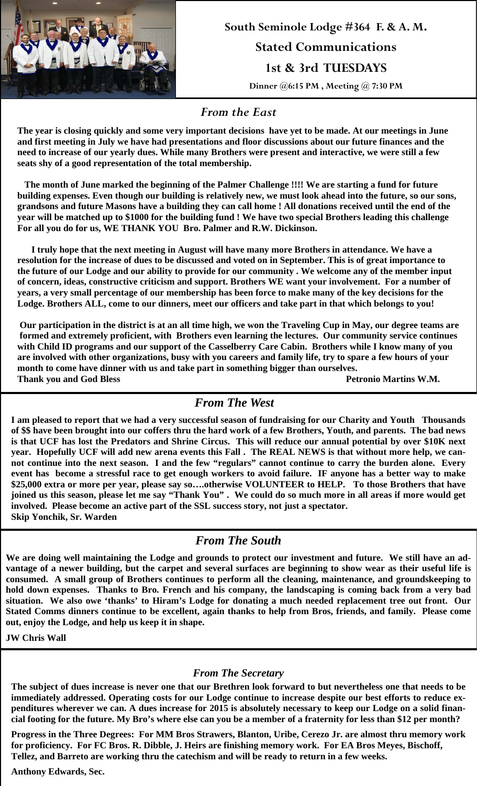

**South Seminole Lodge #364 F. & A. M. Stated Communications 1st & 3rd TUESDAYS Dinner @6:15 PM , Meeting @ 7:30 PM** 

### *From the East*

**The year is closing quickly and some very important decisions have yet to be made. At our meetings in June and first meeting in July we have had presentations and floor discussions about our future finances and the need to increase of our yearly dues. While many Brothers were present and interactive, we were still a few seats shy of a good representation of the total membership.** 

 **The month of June marked the beginning of the Palmer Challenge !!!! We are starting a fund for future building expenses. Even though our building is relatively new, we must look ahead into the future, so our sons, grandsons and future Masons have a building they can call home ! All donations received until the end of the year will be matched up to \$1000 for the building fund ! We have two special Brothers leading this challenge For all you do for us, WE THANK YOU Bro. Palmer and R.W. Dickinson.** 

 **I truly hope that the next meeting in August will have many more Brothers in attendance. We have a resolution for the increase of dues to be discussed and voted on in September. This is of great importance to the future of our Lodge and our ability to provide for our community . We welcome any of the member input of concern, ideas, constructive criticism and support. Brothers WE want your involvement. For a number of years, a very small percentage of our membership has been force to make many of the key decisions for the Lodge. Brothers ALL, come to our dinners, meet our officers and take part in that which belongs to you!** 

 **Our participation in the district is at an all time high, we won the Traveling Cup in May, our degree teams are formed and extremely proficient, with Brothers even learning the lectures. Our community service continues with Child ID programs and our support of the Casselberry Care Cabin. Brothers while I know many of you are involved with other organizations, busy with you careers and family life, try to spare a few hours of your month to come have dinner with us and take part in something bigger than ourselves. Thank you and God Bless Petronio Martins W.M.**

# *From The West*

**I am pleased to report that we had a very successful season of fundraising for our Charity and Youth Thousands of \$\$ have been brought into our coffers thru the hard work of a few Brothers, Youth, and parents. The bad news is that UCF has lost the Predators and Shrine Circus. This will reduce our annual potential by over \$10K next year. Hopefully UCF will add new arena events this Fall . The REAL NEWS is that without more help, we cannot continue into the next season. I and the few "regulars" cannot continue to carry the burden alone. Every event has become a stressful race to get enough workers to avoid failure. IF anyone has a better way to make \$25,000 extra or more per year, please say so….otherwise VOLUNTEER to HELP. To those Brothers that have joined us this season, please let me say "Thank You" . We could do so much more in all areas if more would get involved. Please become an active part of the SSL success story, not just a spectator. Skip Yonchik, Sr. Warden**

# *From The South*

**We are doing well maintaining the Lodge and grounds to protect our investment and future. We still have an advantage of a newer building, but the carpet and several surfaces are beginning to show wear as their useful life is consumed. A small group of Brothers continues to perform all the cleaning, maintenance, and groundskeeping to hold down expenses. Thanks to Bro. French and his company, the landscaping is coming back from a very bad situation. We also owe 'thanks' to Hiram's Lodge for donating a much needed replacement tree out front. Our Stated Comms dinners continue to be excellent, again thanks to help from Bros, friends, and family. Please come out, enjoy the Lodge, and help us keep it in shape.** 

**JW Chris Wall** 

#### *From The Secretary*

**The subject of dues increase is never one that our Brethren look forward to but nevertheless one that needs to be immediately addressed. Operating costs for our Lodge continue to increase despite our best efforts to reduce expenditures wherever we can. A dues increase for 2015 is absolutely necessary to keep our Lodge on a solid financial footing for the future. My Bro's where else can you be a member of a fraternity for less than \$12 per month?** 

**Progress in the Three Degrees: For MM Bros Strawers, Blanton, Uribe, Cerezo Jr. are almost thru memory work for proficiency. For FC Bros. R. Dibble, J. Heirs are finishing memory work. For EA Bros Meyes, Bischoff, Tellez, and Barreto are working thru the catechism and will be ready to return in a few weeks.** 

**Anthony Edwards, Sec.**